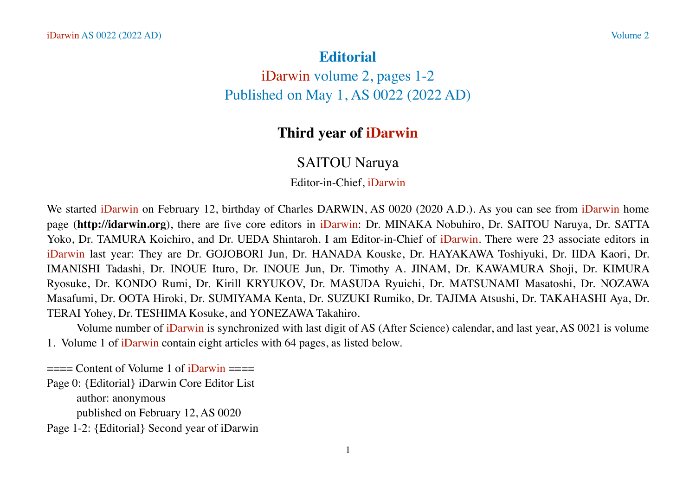## **Editorial**

iDarwin volume 2, pages 1-2 Published on May 1, AS 0022 (2022 AD)

## **Third year of iDarwin**

## SAITOU Naruya

Editor-in-Chief, iDarwin

We started iDarwin on February 12, birthday of Charles DARWIN, AS 0020 (2020 A.D.). As you can see from iDarwin home page (**<http://idarwin.org>**), there are five core editors in iDarwin: Dr. MINAKA Nobuhiro, Dr. SAITOU Naruya, Dr. SATTA Yoko, Dr. TAMURA Koichiro, and Dr. UEDA Shintaroh. I am Editor-in-Chief of iDarwin. There were 23 associate editors in iDarwin last year: They are Dr. GOJOBORI Jun, Dr. HANADA Kouske, Dr. HAYAKAWA Toshiyuki, Dr. IIDA Kaori, Dr. IMANISHI Tadashi, Dr. INOUE Ituro, Dr. INOUE Jun, Dr. Timothy A. JINAM, Dr. KAWAMURA Shoji, Dr. KIMURA Ryosuke, Dr. KONDO Rumi, Dr. Kirill KRYUKOV, Dr. MASUDA Ryuichi, Dr. MATSUNAMI Masatoshi, Dr. NOZAWA Masafumi, Dr. OOTA Hiroki, Dr. SUMIYAMA Kenta, Dr. SUZUKI Rumiko, Dr. TAJIMA Atsushi, Dr. TAKAHASHI Aya, Dr. TERAI Yohey, Dr. TESHIMA Kosuke, and YONEZAWA Takahiro.

Volume number of iDarwin is synchronized with last digit of AS (After Science) calendar, and last year, AS 0021 is volume 1. Volume 1 of iDarwin contain eight articles with 64 pages, as listed below.

 $=$   $=$   $=$   $\frac{1}{2}$   $\frac{1}{2}$   $\frac{1}{2}$   $\frac{1}{2}$   $\frac{1}{2}$   $\frac{1}{2}$   $\frac{1}{2}$   $\frac{1}{2}$   $\frac{1}{2}$   $\frac{1}{2}$   $\frac{1}{2}$   $\frac{1}{2}$   $\frac{1}{2}$   $\frac{1}{2}$   $\frac{1}{2}$   $\frac{1}{2}$   $\frac{1}{2}$   $\frac{1}{2}$   $\frac{1}{2}$   $\frac{1}{2}$   $\frac{1}{2}$ 

Page 0: {Editorial} iDarwin Core Editor List author: anonymous

published on February 12, AS 0020

Page 1-2: {Editorial} Second year of iDarwin